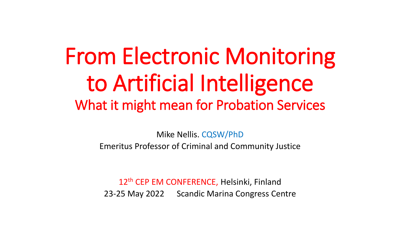# From Electronic Monitoring to Artificial Intelligence What it might mean for Probation Services

Mike Nellis. CQSW/PhD Emeritus Professor of Criminal and Community Justice

12<sup>th</sup> CEP EM CONFERENCE, Helsinki, Finland 23-25 May 2022 Scandic Marina Congress Centre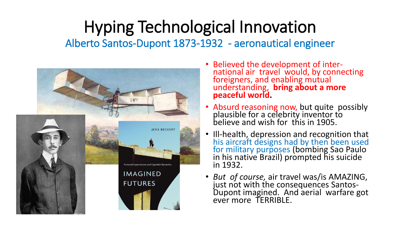#### Hyping Technological Innovation Alberto Santos-Dupont 1873-1932 - aeronautical engineer



- Believed the development of international air travel would, by connecting foreigners, and enabling mutual understanding, **bring about a more peaceful world.**
- Absurd reasoning now, but quite possibly plausible for a celebrity inventor to believe and wish for this in 1905.
- Ill-health, depression and recognition that his aircraft designs had by then been used for military purposes (bombing Sao Paulo in his native Brazil) prompted his suicide in 1932.
- *But of course,* air travel was/is AMAZING, just not with the consequences Santos-Dupont imagined. And aerial warfare got ever more TERRIBLE.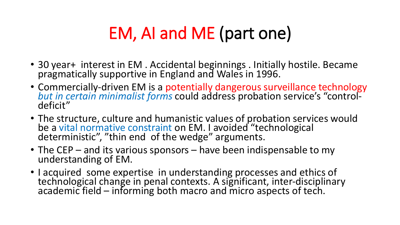### EM, AI and ME (part one)

- 30 year+ interest in EM. Accidental beginnings. Initially hostile. Became pragmatically supportive in England and Wales in 1996.
- Commercially-driven EM is a potentially dangerous surveillance technology *but in certain minimalist forms* could address probation service's "controldeficit"
- The structure, culture and humanistic values of probation services would be a vital normative constraint on EM. I avoided "technological deterministic", "thin end of the wedge" arguments.
- The CEP and its various sponsors have been indispensable to my understanding of EM.
- I acquired some expertise in understanding processes and ethics of technological change in penal contexts. A significant, inter-disciplinary academic field – informing both macro and micro aspects of tech.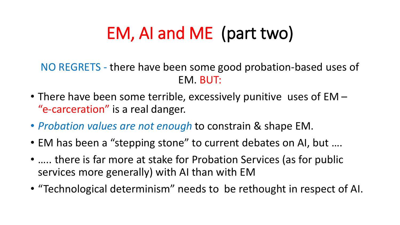### EM, AI and ME (part two)

NO REGRETS - there have been some good probation-based uses of EM. BUT:

- There have been some terrible, excessively punitive uses of EM "e-carceration" is a real danger.
- *Probation values are not enough* to constrain & shape EM.
- EM has been a "stepping stone" to current debates on AI, but ....
- ..... there is far more at stake for Probation Services (as for public services more generally) with AI than with EM
- "Technological determinism" needs to be rethought in respect of AI.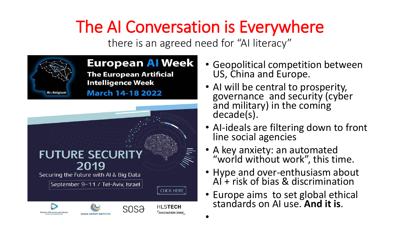## The AI Conversation is Everywhere

there is an agreed need for "AI literacy"



**European AI Week The European Artificial Intelligence Week** 

**March 14-18 2022** 



- Geopolitical competition between US, China and Europe.
- AI will be central to prosperity, governance and security (cyber and military) in the coming decade(s).
- AI-ideals are filtering down to front line social agencies
- A key anxiety: an automated "world without work", this time.
- Hype and over-enthusiasm about AI + risk of bias & discrimination
- Europe aims to set global ethical standards on AI use. **And it is**.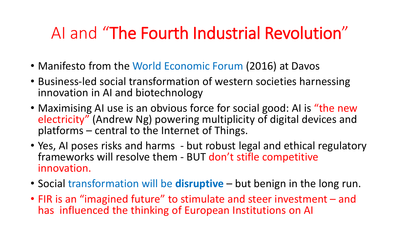#### AI and "The Fourth Industrial Revolution"

- Manifesto from the World Economic Forum (2016) at Davos
- Business-led social transformation of western societies harnessing innovation in AI and biotechnology
- Maximising AI use is an obvious force for social good: AI is "the new electricity" (Andrew Ng) powering multiplicity of digital devices and platforms – central to the Internet of Things.
- Yes, AI poses risks and harms but robust legal and ethical regulatory frameworks will resolve them - BUT don't stifle competitive innovation.
- Social transformation will be **disruptive** but benign in the long run.
- FIR is an "imagined future" to stimulate and steer investment and has influenced the thinking of European Institutions on AI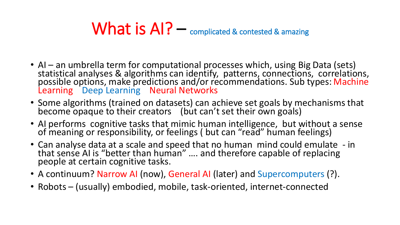#### What is  $AI$ ?  $-$  complicated & contested & amazing

- AI an umbrella term for computational processes which, using Big Data (sets) statistical analyses & algorithms can identify, patterns, connections, correlations, possible options, make predictions and/or recommendations. Sub types: Machine Learning Deep Learning Neural Networks
- Some algorithms (trained on datasets) can achieve set goals by mechanisms that become opaque to their creators (but can't set their own goals)
- AI performs cognitive tasks that mimic human intelligence, but without a sense of meaning or responsibility, or feelings ( but can "read" human feelings)
- Can analyse data at a scale and speed that no human mind could emulate in that sense AI is "better than human" …. and therefore capable of replacing people at certain cognitive tasks.
- A continuum? Narrow AI (now), General AI (later) and Supercomputers (?).
- Robots (usually) embodied, mobile, task-oriented, internet-connected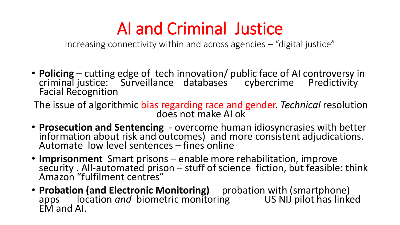#### AI and Criminal Justice

Increasing connectivity within and across agencies – "digital justice"

• **Policing** – cutting edge of tech innovation/ public face of AI controversy in criminal justice: Surveillance databases cybercrime Predictivity Facial Recognition

The issue of algorithmic bias regarding race and gender. *Technical* resolution does not make AI ok

- **Prosecution and Sentencing**  overcome human idiosyncrasies with better information about risk and outcomes) and more consistent adjudications. Automate low level sentences – fines online
- **Imprisonment** Smart prisons enable more rehabilitation, improve security . All-automated prison – stuff of science fiction, but feasible: think Amazon "fulfilment centres"
- **Probation (and Electronic Monitoring)** probation with (smartphone) apps location *and* biometric monitoring US NIJ pilot has linked EM and AI.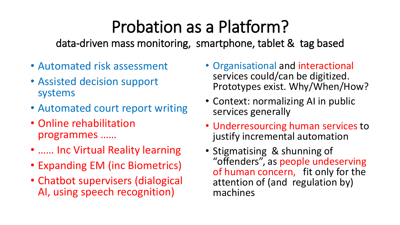### Probation as a Platform?

data-driven mass monitoring, smartphone, tablet & tag based

- Automated risk assessment
- Assisted decision support systems
- Automated court report writing
- Online rehabilitation programmes ……
- …… Inc Virtual Reality learning
- Expanding EM (inc Biometrics)
- Chatbot supervisers (dialogical AI, using speech recognition)
- Organisational and interactional services could/can be digitized. Prototypes exist. Why/When/How?
- Context: normalizing AI in public services generally
- Underresourcing human services to justify incremental automation
- Stigmatising & shunning of "offenders", as people undeserving of human concern, fit only for the attention of (and regulation by) machines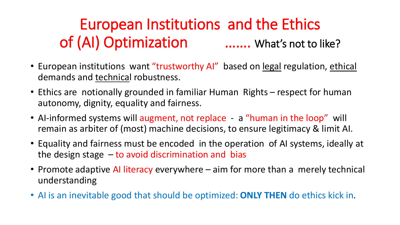#### European Institutions and the Ethics of (AI) Optimization ……. What's not to like?

- European institutions want "trustworthy AI" based on legal regulation, ethical demands and technical robustness.
- Ethics are notionally grounded in familiar Human Rights respect for human autonomy, dignity, equality and fairness.
- AI-informed systems will augment, not replace a "human in the loop" will remain as arbiter of (most) machine decisions, to ensure legitimacy & limit AI.
- Equality and fairness must be encoded in the operation of AI systems, ideally at the design stage  $-$  to avoid discrimination and bias
- Promote adaptive AI literacy everywhere aim for more than a merely technical understanding
- AI is an inevitable good that should be optimized: **ONLY THEN** do ethics kick in.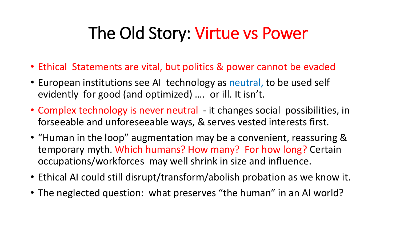#### The Old Story: Virtue vs Power

- Ethical Statements are vital, but politics & power cannot be evaded
- European institutions see AI technology as neutral, to be used self evidently for good (and optimized) …. or ill. It isn't.
- Complex technology is never neutral it changes social possibilities, in forseeable and unforeseeable ways, & serves vested interests first.
- "Human in the loop" augmentation may be a convenient, reassuring & temporary myth. Which humans? How many? For how long? Certain occupations/workforces may well shrink in size and influence.
- Ethical AI could still disrupt/transform/abolish probation as we know it.
- The neglected question: what preserves "the human" in an AI world?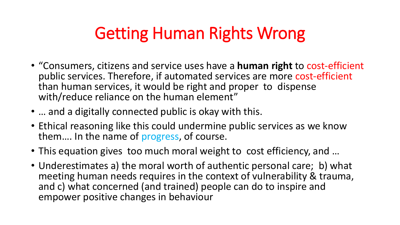#### Getting Human Rights Wrong

- "Consumers, citizens and service uses have a **human right** to cost-efficient public services. Therefore, if automated services are more cost-efficient than human services, it would be right and proper to dispense with/reduce reliance on the human element"
- … and a digitally connected public is okay with this.
- Ethical reasoning like this could undermine public services as we know them…. In the name of progress, of course.
- This equation gives too much moral weight to cost efficiency, and …
- Underestimates a) the moral worth of authentic personal care; b) what meeting human needs requires in the context of vulnerability & trauma, and c) what concerned (and trained) people can do to inspire and empower positive changes in behaviour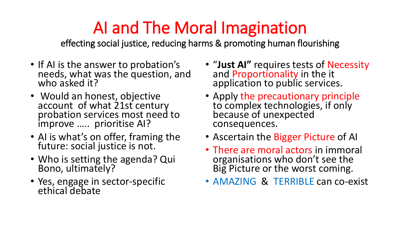### AI and The Moral Imagination

effecting social justice, reducing harms & promoting human flourishing

- If AI is the answer to probation's needs, what was the question, and who asked it?
- Would an honest, objective account of what 21st century probation services most need to improve ….. prioritise AI?
- AI is what's on offer, framing the future: social justice is not.
- Who is setting the agenda? Qui Bono, ultimately?
- Yes, engage in sector-specific ethical debate
- "**Just AI"** requires tests of Necessity and Proportionality in the it application to public services.
- Apply the precautionary principle to complex technologies, if only because of unexpected consequences.
- Ascertain the Bigger Picture of AI
- There are moral actors in immoral organisations who don't see the Big Picture or the worst coming.
- AMAZING & TERRIBLE can co-exist